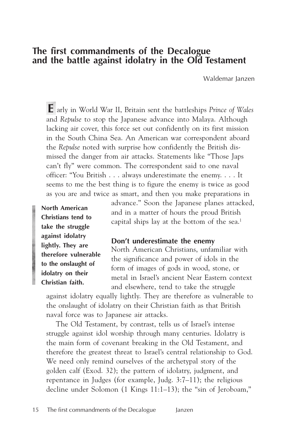# **The first commandments of the Decalogue and the battle against idolatry in the Old Testament**

Waldemar Janzen

**E** arly in World War II, Britain sent the battleships *Prince of Wales* and *Repulse* to stop the Japanese advance into Malaya. Although lacking air cover, this force set out confidently on its first mission in the South China Sea. An American war correspondent aboard the *Repulse* noted with surprise how confidently the British dismissed the danger from air attacks. Statements like "Those Japs can't fly" were common. The correspondent said to one naval officer: "You British . . . always underestimate the enemy. . . . It seems to me the best thing is to figure the enemy is twice as good as you are and twice as smart, and then you make preparations in

**North American Christians tend to take the struggle against idolatry lightly. They are therefore vulnerable to the onslaught of idolatry on their Christian faith.**

advance." Soon the Japanese planes attacked, and in a matter of hours the proud British capital ships lay at the bottom of the sea.<sup>1</sup>

### **Don't underestimate the enemy**

North American Christians, unfamiliar with the significance and power of idols in the form of images of gods in wood, stone, or metal in Israel's ancient Near Eastern context and elsewhere, tend to take the struggle

against idolatry equally lightly. They are therefore as vulnerable to the onslaught of idolatry on their Christian faith as that British naval force was to Japanese air attacks.

The Old Testament, by contrast, tells us of Israel's intense struggle against idol worship through many centuries. Idolatry is the main form of covenant breaking in the Old Testament, and therefore the greatest threat to Israel's central relationship to God. We need only remind ourselves of the archetypal story of the golden calf (Exod. 32); the pattern of idolatry, judgment, and repentance in Judges (for example, Judg. 3:7–11); the religious decline under Solomon (1 Kings 11:1–13); the "sin of Jeroboam,"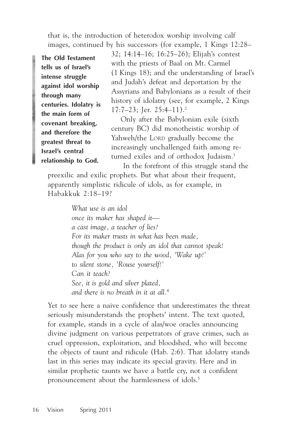that is, the introduction of heterodox worship involving calf images, continued by his successors (for example, 1 Kings 12:28–

**The Old Testament tells us of Israel's intense struggle against idol worship through many centuries. Idolatry is the main form of covenant breaking, and therefore the greatest threat to Israel's central relationship to God.**

32; 14:14–16; 16:25–26); Elijah's contest with the priests of Baal on Mt. Carmel (1 Kings 18); and the understanding of Israel's and Judah's defeat and deportation by the Assyrians and Babylonians as a result of their history of idolatry (see, for example, 2 Kings 17:7–23; Jer. 25:4–11).2

Only after the Babylonian exile (sixth century BC) did monotheistic worship of Yahweh/the LORD gradually become the increasingly unchallenged faith among returned exiles and of orthodox Judaism.3

 In the forefront of this struggle stand the preexilic and exilic prophets. But what about their frequent, apparently simplistic ridicule of idols, as for example, in Habakkuk 2:18–19?

> *What use is an idol once its maker has shaped it a cast image, a teacher of lies? For its maker trusts in what has been made, though the product is only an idol that cannot speak! Alas for you who say to the wood, 'Wake up!' to silent stone, 'Rouse yourself!' Can it teach? See, it is gold and silver plated, and there is no breath in it at all.*<sup>4</sup>

Yet to see here a naive confidence that underestimates the threat seriously misunderstands the prophets' intent. The text quoted, for example, stands in a cycle of alas/woe oracles announcing divine judgment on various perpetrators of grave crimes, such as cruel oppression, exploitation, and bloodshed, who will become the objects of taunt and ridicule (Hab. 2:6). That idolatry stands last in this series may indicate its special gravity. Here and in similar prophetic taunts we have a battle cry, not a confident pronouncement about the harmlessness of idols.<sup>5</sup>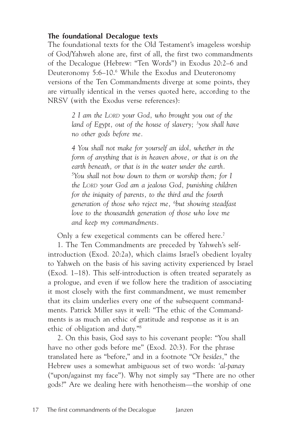# **The foundational Decalogue texts**

The foundational texts for the Old Testament's imageless worship of God/Yahweh alone are, first of all, the first two commandments of the Decalogue (Hebrew: "Ten Words") in Exodus 20:2–6 and Deuteronomy 5:6–10.6 While the Exodus and Deuteronomy versions of the Ten Commandments diverge at some points, they are virtually identical in the verses quoted here, according to the NRSV (with the Exodus verse references):

> *2 I am the LORD your God, who brought you out of the land of Egypt, out of the house of slavery; 3 you shall have no other gods before me.*

> *4 You shall not make for yourself an idol, whether in the form of anything that is in heaven above, or that is on the earth beneath, or that is in the water under the earth. 5 You shall not bow down to them or worship them; for I the LORD your God am a jealous God, punishing children for the iniquity of parents, to the third and the fourth generation of those who reject me, 6 but showing steadfast love to the thousandth generation of those who love me and keep my commandments.*

Only a few exegetical comments can be offered here.<sup>7</sup>

1. The Ten Commandments are preceded by Yahweh's selfintroduction (Exod. 20:2a), which claims Israel's obedient loyalty to Yahweh on the basis of his saving activity experienced by Israel (Exod. 1–18). This self-introduction is often treated separately as a prologue, and even if we follow here the tradition of associating it most closely with the first commandment, we must remember that its claim underlies every one of the subsequent commandments. Patrick Miller says it well: "The ethic of the Commandments is as much an ethic of gratitude and response as it is an ethic of obligation and duty."8

2. On this basis, God says to his covenant people: "You shall have no other gods before me" (Exod. 20:3). For the phrase translated here as "before," and in a footnote "Or *besides,*" the Hebrew uses a somewhat ambiguous set of two words: *'al-panay* ("upon/against my face"). Why not simply say "There are no other gods?" Are we dealing here with henotheism—the worship of one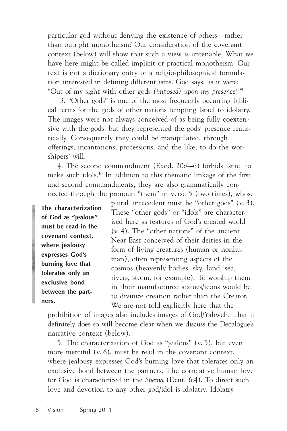particular god without denying the existence of others—rather than outright monotheism? Our consideration of the covenant context (below) will show that such a view is untenable. What we have here might be called implicit or practical monotheism. Our text is not a dictionary entry or a religio-philosophical formulation interested in defining different isms. God says, as it were: "Out of my sight with other gods *(imposed) upon my presence*!"9

 3. "Other gods" is one of the most frequently occurring biblical terms for the gods of other nations tempting Israel to idolatry. The images were not always conceived of as being fully coextensive with the gods, but they represented the gods' presence realistically. Consequently they could be manipulated, through offerings, incantations, processions, and the like, to do the worshipers' will.

4. The second commandment (Exod. 20:4–6) forbids Israel to make such idols.10 In addition to this thematic linkage of the first and second commandments, they are also grammatically connected through the pronoun "them" in verse 5 (two times), whose

**The characterization of God as "jealous" must be read in the covenant context, where jealousy expresses God's burning love that tolerates only an exclusive bond between the partners.**

plural antecedent must be "other gods" (v. 3). These "other gods" or "idols" are characterized here as features of God's created world (v. 4). The "other nations" of the ancient Near East conceived of their deities in the form of living creatures (human or nonhuman), often representing aspects of the cosmos (heavenly bodies, sky, land, sea, rivers, storm, for example). To worship them in their manufactured statues/icons would be to divinize creation rather than the Creator. We are not told explicitly here that the

prohibition of images also includes images of God/Yahweh. That it definitely does so will become clear when we discuss the Decalogue's narrative context (below).

5. The characterization of God as "jealous" (v. 5), but even more merciful (v. 6), must be read in the covenant context, where jealousy expresses God's burning love that tolerates only an exclusive bond between the partners. The correlative human love for God is characterized in the *Shema* (Deut. 6:4). To direct such love and devotion to any other god/idol is idolatry. Idolatry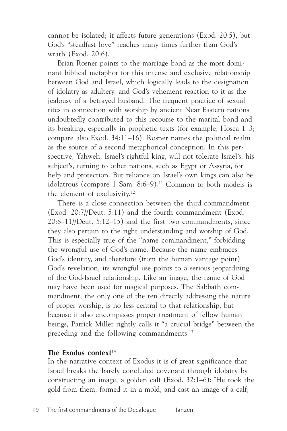cannot be isolated; it affects future generations (Exod. 20:5), but God's "steadfast love" reaches many times further than God's wrath (Exod. 20:6).

Brian Rosner points to the marriage bond as the most dominant biblical metaphor for this intense and exclusive relationship between God and Israel, which logically leads to the designation of idolatry as adultery, and God's vehement reaction to it as the jealousy of a betrayed husband. The frequent practice of sexual rites in connection with worship by ancient Near Eastern nations undoubtedly contributed to this recourse to the marital bond and its breaking, especially in prophetic texts (for example, Hosea 1–3; compare also Exod. 34:11–16). Rosner names the political realm as the source of a second metaphorical conception. In this perspective, Yahweh, Israel's rightful king, will not tolerate Israel's, his subject's, turning to other nations, such as Egypt or Assyria, for help and protection. But reliance on Israel's own kings can also be idolatrous (compare 1 Sam. 8:6–9).<sup>11</sup> Common to both models is the element of exclusivity.12

There is a close connection between the third commandment (Exod. 20:7//Deut. 5:11) and the fourth commandment (Exod. 20:8–11//Deut. 5:12–15) and the first two commandments, since they also pertain to the right understanding and worship of God. This is especially true of the "name commandment," forbidding the wrongful use of God's name. Because the name embraces God's identity, and therefore (from the human vantage point) God's revelation, its wrongful use points to a serious jeopardizing of the God-Israel relationship. Like an image, the name of God may have been used for magical purposes. The Sabbath commandment, the only one of the ten directly addressing the nature of proper worship, is no less central to that relationship, but because it also encompasses proper treatment of fellow human beings, Patrick Miller rightly calls it "a crucial bridge" between the preceding and the following commandments.<sup>13</sup>

### The Exodus context<sup>14</sup>

In the narrative context of Exodus it is of great significance that Israel breaks the barely concluded covenant through idolatry by constructing an image, a golden calf (Exod. 32:1–6): " He took the gold from them, formed it in a mold, and cast an image of a calf;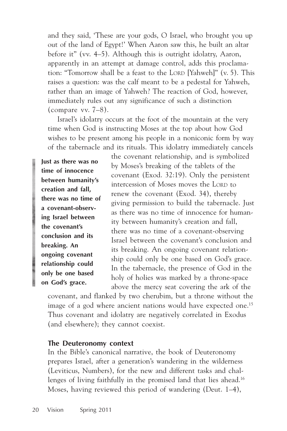and they said, 'These are your gods, O Israel, who brought you up out of the land of Egypt!' When Aaron saw this, he built an altar before it" (vv. 4–5). Although this is outright idolatry, Aaron, apparently in an attempt at damage control, adds this proclamation: "Tomorrow shall be a feast to the LORD [Yahweh]" (v. 5). This raises a question: was the calf meant to be a pedestal for Yahweh, rather than an image of Yahweh? The reaction of God, however, immediately rules out any significance of such a distinction (compare vv. 7–8).

Israel's idolatry occurs at the foot of the mountain at the very time when God is instructing Moses at the top about how God wishes to be present among his people in a noniconic form by way of the tabernacle and its rituals. This idolatry immediately cancels

**Just as there was no time of innocence between humanity's creation and fall, there was no time of a covenant-observing Israel between the covenant's conclusion and its breaking. An ongoing covenant relationship could only be one based on God's grace.**

the covenant relationship, and is symbolized by Moses's breaking of the tablets of the covenant (Exod. 32:19). Only the persistent intercession of Moses moves the LORD to renew the covenant (Exod. 34), thereby giving permission to build the tabernacle. Just as there was no time of innocence for humanity between humanity's creation and fall, there was no time of a covenant-observing Israel between the covenant's conclusion and its breaking. An ongoing covenant relationship could only be one based on God's grace. In the tabernacle, the presence of God in the holy of holies was marked by a throne-space above the mercy seat covering the ark of the

covenant, and flanked by two cherubim, but a throne without the image of a god where ancient nations would have expected one.<sup>15</sup> Thus covenant and idolatry are negatively correlated in Exodus (and elsewhere); they cannot coexist.

#### **The Deuteronomy context**

In the Bible's canonical narrative, the book of Deuteronomy prepares Israel, after a generation's wandering in the wilderness (Leviticus, Numbers), for the new and different tasks and challenges of living faithfully in the promised land that lies ahead.<sup>16</sup> Moses, having reviewed this period of wandering (Deut. 1–4),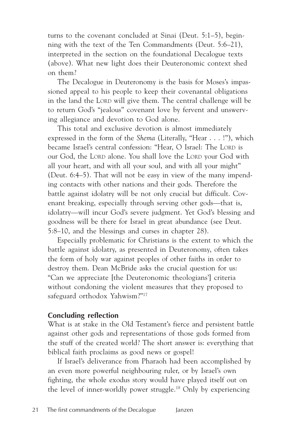turns to the covenant concluded at Sinai (Deut. 5:1–5), beginning with the text of the Ten Commandments (Deut. 5:6–21), interpreted in the section on the foundational Decalogue texts (above). What new light does their Deuteronomic context shed on them?

The Decalogue in Deuteronomy is the basis for Moses's impassioned appeal to his people to keep their covenantal obligations in the land the LORD will give them. The central challenge will be to return God's "jealous" covenant love by fervent and unswerving allegiance and devotion to God alone.

This total and exclusive devotion is almost immediately expressed in the form of the *Shema* (Literally, "Hear . . . !"), which became Israel's central confession: "Hear, O Israel: The LORD is our God, the LORD alone. You shall love the LORD your God with all your heart, and with all your soul, and with all your might" (Deut. 6:4–5). That will not be easy in view of the many impending contacts with other nations and their gods. Therefore the battle against idolatry will be not only crucial but difficult. Covenant breaking, especially through serving other gods—that is, idolatry—will incur God's severe judgment. Yet God's blessing and goodness will be there for Israel in great abundance (see Deut. 5:8–10, and the blessings and curses in chapter 28).

Especially problematic for Christians is the extent to which the battle against idolatry, as presented in Deuteronomy, often takes the form of holy war against peoples of other faiths in order to destroy them. Dean McBride asks the crucial question for us: "Can we appreciate [the Deuteronomic theologians'] criteria without condoning the violent measures that they proposed to safeguard orthodox Yahwism?"17

# **Concluding reflection**

What is at stake in the Old Testament's fierce and persistent battle against other gods and representations of those gods formed from the stuff of the created world? The short answer is: everything that biblical faith proclaims as good news or gospel!

If Israel's deliverance from Pharaoh had been accomplished by an even more powerful neighbouring ruler, or by Israel's own fighting, the whole exodus story would have played itself out on the level of inner-worldly power struggle.18 Only by experiencing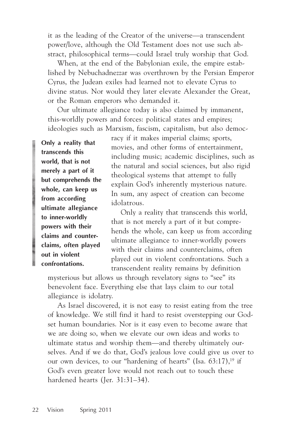it as the leading of the Creator of the universe—a transcendent power/love, although the Old Testament does not use such abstract, philosophical terms—could Israel truly worship that God.

When, at the end of the Babylonian exile, the empire established by Nebuchadnezzar was overthrown by the Persian Emperor Cyrus, the Judean exiles had learned not to elevate Cyrus to divine status. Nor would they later elevate Alexander the Great, or the Roman emperors who demanded it.

Our ultimate allegiance today is also claimed by immanent, this-worldly powers and forces: political states and empires; ideologies such as Marxism, fascism, capitalism, but also democ-

**Only a reality that transcends this world, that is not merely a part of it but comprehends the whole, can keep us from according ultimate allegiance to inner-worldly powers with their claims and counterclaims, often played out in violent confrontations.**

racy if it makes imperial claims; sports, movies, and other forms of entertainment, including music; academic disciplines, such as the natural and social sciences, but also rigid theological systems that attempt to fully explain God's inherently mysterious nature. In sum, any aspect of creation can become idolatrous.

Only a reality that transcends this world, that is not merely a part of it but comprehends the whole, can keep us from according ultimate allegiance to inner-worldly powers with their claims and counterclaims, often played out in violent confrontations. Such a transcendent reality remains by definition

mysterious but allows us through revelatory signs to "see" its benevolent face. Everything else that lays claim to our total allegiance is idolatry.

As Israel discovered, it is not easy to resist eating from the tree of knowledge. We still find it hard to resist overstepping our Godset human boundaries. Nor is it easy even to become aware that we are doing so, when we elevate our own ideas and works to ultimate status and worship them—and thereby ultimately ourselves. And if we do that, God's jealous love could give us over to our own devices, to our "hardening of hearts" (Isa.  $63:17$ ),<sup>19</sup> if God's even greater love would not reach out to touch these hardened hearts (Jer. 31:31–34).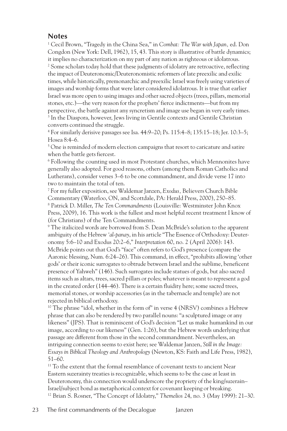### **Notes**

1 Cecil Brown, "Tragedy in the China Sea," in *Combat: The War with Japan,* ed. Don Congdon (New York: Dell, 1962), 15, 43. This story is illustrative of battle dynamics; it implies no characterization on my part of any nation as righteous or idolatrous.  $^2$  Some scholars today hold that these judgments of idolatry are retroactive, reflecting the impact of Deuteronomic/Deuteronomistic reformers of late preexilic and exilic times, while historically, premonarchic and preexilic Israel was freely using varieties of images and worship forms that were later considered idolatrous. It is true that earlier Israel was more open to using images and other sacred objects (trees, pillars, memorial stones, etc.)—the very reason for the prophets' fierce indictments—but from my perspective, the battle against any syncretism and image use began in very early times. 3 In the Diaspora, however, Jews living in Gentile contexts and Gentile Christian converts continued the struggle.

4 For similarly derisive passages see Isa. 44:9–20; Ps. 115:4–8; 135:15–18; Jer. 10:3–5; Hosea 8:4–6.

<sup>5</sup> One is reminded of modern election campaigns that resort to caricature and satire when the battle gets fiercest.

6 Following the counting used in most Protestant churches, which Mennonites have generally also adopted. For good reasons, others (among them Roman Catholics and Lutherans), consider verses 3–6 to be one commandment, and divide verse 17 into two to maintain the total of ten.

7 For my fuller exposition, see Waldemar Janzen, *Exodus,* Believers Church Bible Commentary (Waterloo, ON, and Scottdale, PA: Herald Press, 2000), 250–85. 8 Patrick D. Miller, *The Ten Commandments* (Louisville: Westminster John Knox Press, 2009), 16. This work is the fullest and most helpful recent treatment I know of (for Christians) of the Ten Commandments.

9 The italicized words are borrowed from S. Dean McBride's solution to the apparent ambiguity of the Hebrew *'al-panay*, in his article "The Essence of Orthodoxy: Deuteronomy 5:6–10 and Exodus 20:2–6," *Interpretation* 60, no. 2 (April 2006): 143. McBride points out that God's "face" often refers to God's presence (compare the Aaronic blessing, Num. 6:24–26). This command, in effect, "prohibits allowing 'other gods' or their iconic surrogates to obtrude between Israel and the sublime, beneficent presence of Yahweh" (146). Such surrogates include statues of gods, but also sacred items such as altars, trees, sacred pillars or poles; whatever is meant to represent a god in the created order (144–46). There is a certain fluidity here; some sacred trees, memorial stones, or worship accessories (as in the tabernacle and temple) are not rejected in biblical orthodoxy.

<sup>10</sup> The phrase "idol, whether in the form of" in verse 4 (NRSV) combines a Hebrew phrase that can also be rendered by two parallel nouns: "a sculptured image or any likeness" (JPS). That is reminiscent of God's decision "Let us make humankind in our image, according to our likeness" (Gen. 1:26), but the Hebrew words underlying that passage are different from those in the second commandment. Nevertheless, an intriguing connection seems to exist here; see Waldemar Janzen, *Still in the Image: Essays in Biblical Theology and Anthropology* (Newton, KS: Faith and Life Press, 1982), 51–60.

<sup>11</sup> To the extent that the formal resemblance of covenant texts to ancient Near Eastern suzerainty treaties is recognizable, which seems to be the case at least in Deuteronomy, this connection would underscore the propriety of the king/suzerain– Israel/subject bond as metaphorical context for covenant keeping or breaking. 12 Brian S. Rosner, "The Concept of Idolatry," *Themelios* 24, no. 3 (May 1999): 21–30.